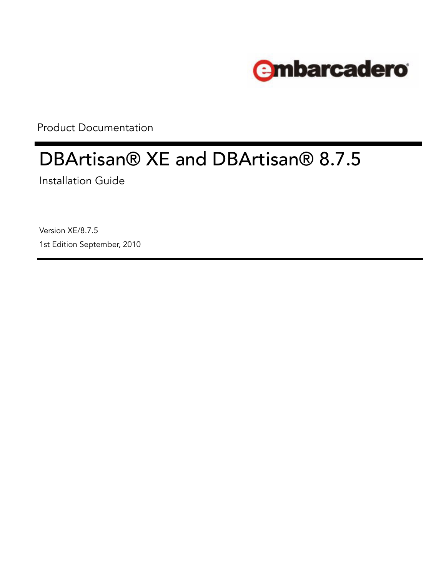

Product Documentation

# DBArtisan® XE and DBArtisan® 8.7.5

Installation Guide

Version XE/8.7.5 1st Edition September, 2010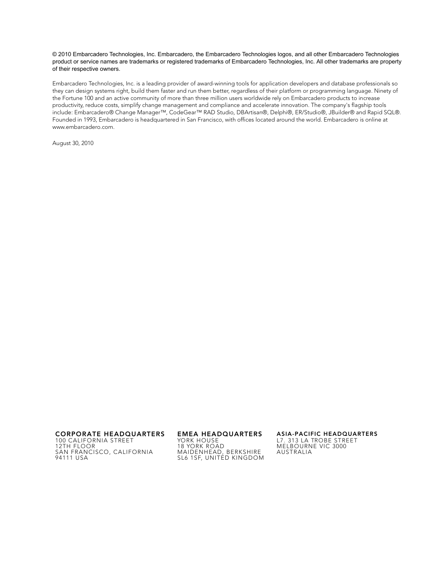#### © 2010 Embarcadero Technologies, Inc. Embarcadero, the Embarcadero Technologies logos, and all other Embarcadero Technologies product or service names are trademarks or registered trademarks of Embarcadero Technologies, Inc. All other trademarks are property of their respective owners.

Embarcadero Technologies, Inc. is a leading provider of award-winning tools for application developers and database professionals so they can design systems right, build them faster and run them better, regardless of their platform or programming language. Ninety of the Fortune 100 and an active community of more than three million users worldwide rely on Embarcadero products to increase productivity, reduce costs, simplify change management and compliance and accelerate innovation. The company's flagship tools include: Embarcadero® Change Manager™, CodeGear™ RAD Studio, DBArtisan®, Delphi®, ER/Studio®, JBuilder® and Rapid SQL®. Founded in 1993, Embarcadero is headquartered in San Francisco, with offices located around the world. Embarcadero is online at www.embarcadero.com.

August 30, 2010

CORPORATE HEADQUARTERS EMEA HEADQUARTERS ASIA-PACIFIC HEADQUARTERS 100 CALIFORNIA STREET 12TH FLOOR SAN FRANCISCO, CALIFORNIA 94111 USA

YORK HOUSE 18 YORK ROAD MAIDENHEAD, BERKSHIRE SL6 1SF, UNITED KINGDOM

L7. 313 LA TROBE STREET

MELBOURNE VIC 3000 AUSTRALIA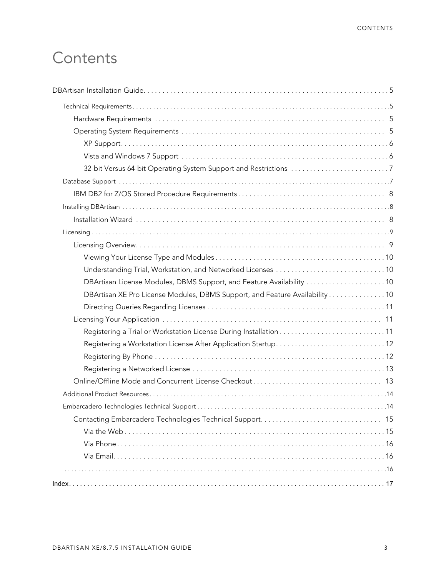# **Contents**

| DBArtisan XE Pro License Modules, DBMS Support, and Feature Availability  10 |  |
|------------------------------------------------------------------------------|--|
|                                                                              |  |
|                                                                              |  |
|                                                                              |  |
|                                                                              |  |
|                                                                              |  |
|                                                                              |  |
|                                                                              |  |
|                                                                              |  |
|                                                                              |  |
|                                                                              |  |
|                                                                              |  |
|                                                                              |  |
|                                                                              |  |
|                                                                              |  |
|                                                                              |  |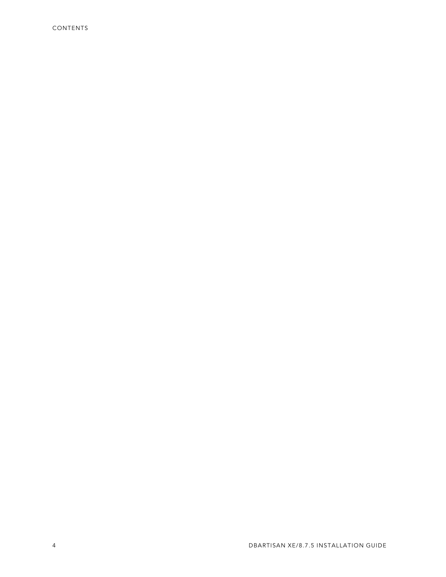CONTENTS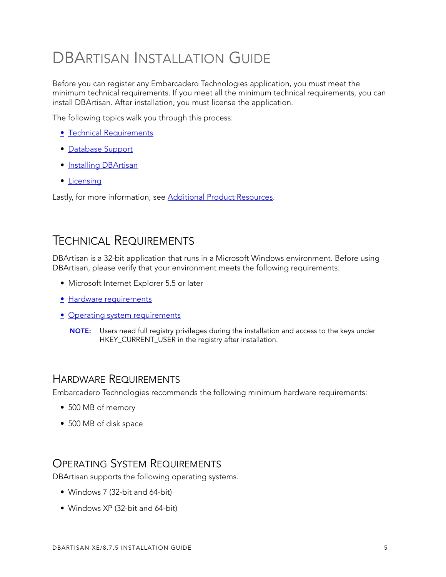# <span id="page-4-0"></span>DBARTISAN INSTALLATION GUIDE

Before you can register any Embarcadero Technologies application, you must meet the minimum technical requirements. If you meet all the minimum technical requirements, you can install DBArtisan. After installation, you must license the application.

The following topics walk you through this process:

- [Technical Requirements](#page-4-1)
- [Database Support](#page-6-1)
- [Installing DBArtisan](#page-7-1)
- <span id="page-4-4"></span>• [Licensing](#page-8-0)

Lastly, for more information, see [Additional Product Resources.](#page-13-0)

# <span id="page-4-1"></span>TECHNICAL REQUIREMENTS

DBArtisan is a 32-bit application that runs in a Microsoft Windows environment. Before using DBArtisan, please verify that your environment meets the following requirements:

- Microsoft Internet Explorer 5.5 or later
- [Hardware requirements](#page-4-2)
- [Operating system requirements](#page-4-3)
	- NOTE: Users need full registry privileges during the installation and access to the keys under HKEY\_CURRENT\_USER in the registry after installation.

### <span id="page-4-5"></span><span id="page-4-2"></span>HARDWARE REQUIREMENTS

Embarcadero Technologies recommends the following minimum hardware requirements:

- 500 MB of memory
- <span id="page-4-6"></span>• 500 MB of disk space

### <span id="page-4-3"></span>OPERATING SYSTEM REQUIREMENTS

DBArtisan supports the following operating systems.

- Windows 7 (32-bit and 64-bit)
- Windows XP (32-bit and 64-bit)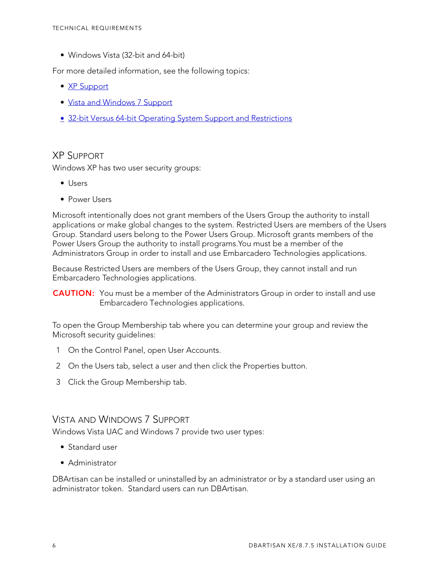• Windows Vista (32-bit and 64-bit)

For more detailed information, see the following topics:

- [XP Support](#page-5-0)
- [Vista and Windows 7 Support](#page-5-1)
- [32-bit Versus 64-bit Operating System Support and Restrictions](#page-6-0)

#### <span id="page-5-0"></span>XP SUPPORT

Windows XP has two user security groups:

- Users
- Power Users

Microsoft intentionally does not grant members of the Users Group the authority to install applications or make global changes to the system. Restricted Users are members of the Users Group. Standard users belong to the Power Users Group. Microsoft grants members of the Power Users Group the authority to install programs.You must be a member of the Administrators Group in order to install and use Embarcadero Technologies applications.

Because Restricted Users are members of the Users Group, they cannot install and run Embarcadero Technologies applications.

**CAUTION:** You must be a member of the Administrators Group in order to install and use Embarcadero Technologies applications.

To open the Group Membership tab where you can determine your group and review the Microsoft security guidelines:

- 1 On the Control Panel, open User Accounts.
- 2 On the Users tab, select a user and then click the Properties button.
- 3 Click the Group Membership tab.

#### <span id="page-5-1"></span>VISTA AND WINDOWS 7 SUPPORT

Windows Vista UAC and Windows 7 provide two user types:

- Standard user
- Administrator

DBArtisan can be installed or uninstalled by an administrator or by a standard user using an administrator token. Standard users can run DBArtisan.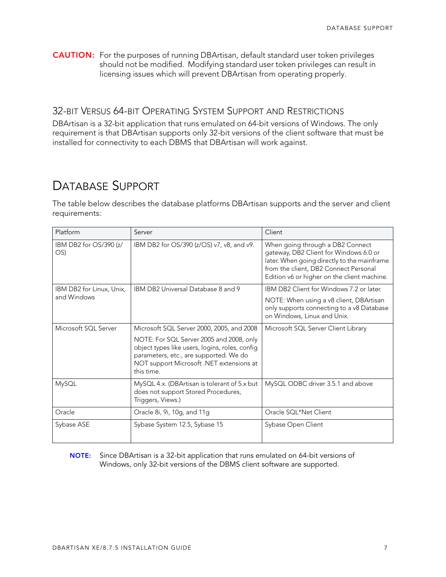CAUTION: For the purposes of running DBArtisan, default standard user token privileges should not be modified. Modifying standard user token privileges can result in licensing issues which will prevent DBArtisan from operating properly.

### <span id="page-6-0"></span>32-BIT VERSUS 64-BIT OPERATING SYSTEM SUPPORT AND RESTRICTIONS

DBArtisan is a 32-bit application that runs emulated on 64-bit versions of Windows. The only requirement is that DBArtisan supports only 32-bit versions of the client software that must be installed for connectivity to each DBMS that DBArtisan will work against.

# <span id="page-6-2"></span><span id="page-6-1"></span>DATABASE SUPPORT

The table below describes the database platforms DBArtisan supports and the server and client requirements:

| Platform                      | Server                                                                                                                                                                                         | Client                                                                                                                                                                                                            |
|-------------------------------|------------------------------------------------------------------------------------------------------------------------------------------------------------------------------------------------|-------------------------------------------------------------------------------------------------------------------------------------------------------------------------------------------------------------------|
| IBM DB2 for OS/390 (z/<br>OS) | IBM DB2 for OS/390 (z/OS) v7, v8, and v9.                                                                                                                                                      | When going through a DB2 Connect<br>gateway, DB2 Client for Windows 6.0 or<br>later. When going directly to the mainframe<br>from the client, DB2 Connect Personal<br>Edition v6 or higher on the client machine. |
| IBM DB2 for Linux, Unix,      | IBM DB2 Universal Database 8 and 9                                                                                                                                                             | IBM DB2 Client for Windows 7.2 or later.                                                                                                                                                                          |
| and Windows                   |                                                                                                                                                                                                | NOTE: When using a v8 client, DBArtisan<br>only supports connecting to a v8 Database<br>on Windows, Linux and Unix.                                                                                               |
| Microsoft SQL Server          | Microsoft SQL Server 2000, 2005, and 2008                                                                                                                                                      | Microsoft SQL Server Client Library                                                                                                                                                                               |
|                               | NOTE: For SQL Server 2005 and 2008, only<br>object types like users, logins, roles, config<br>parameters, etc., are supported. We do<br>NOT support Microsoft .NET extensions at<br>this time. |                                                                                                                                                                                                                   |
| MySQL                         | MySQL 4.x. (DBArtisan is tolerant of 5.x but<br>does not support Stored Procedures,<br>Triggers, Views.)                                                                                       | MySQL ODBC driver 3.5.1 and above                                                                                                                                                                                 |
| Oracle                        | Oracle 8i, 9i, 10g, and 11g                                                                                                                                                                    | Oracle SQL*Net Client                                                                                                                                                                                             |
| Sybase ASE                    | Sybase System 12.5, Sybase 15                                                                                                                                                                  | Sybase Open Client                                                                                                                                                                                                |

NOTE: Since DBArtisan is a 32-bit application that runs emulated on 64-bit versions of Windows, only 32-bit versions of the DBMS client software are supported.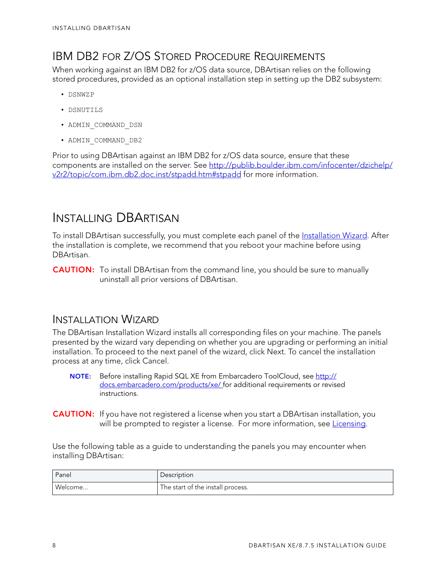# <span id="page-7-0"></span>IBM DB2 FOR Z/OS STORED PROCEDURE REQUIREMENTS

When working against an IBM DB2 for z/OS data source, DBArtisan relies on the following stored procedures, provided as an optional installation step in setting up the DB2 subsystem:

- DSNWZP
- DSNUTILS
- ADMIN\_COMMAND\_DSN
- ADMIN\_COMMAND\_DB2

Prior to using DBArtisan against an IBM DB2 for z/OS data source, ensure that these components are installed on the server. See [http://publib.boulder.ibm.com/infocenter/dzichelp/](http://publib.boulder.ibm.com/infocenter/dzichelp/v2r2/index.jsp?topic=/com.ibm.db2.doc.inst/stpadd.htm) [v2r2/topic/com.ibm.db2.doc.inst/stpadd.htm#stpadd](http://publib.boulder.ibm.com/infocenter/dzichelp/v2r2/index.jsp?topic=/com.ibm.db2.doc.inst/stpadd.htm) for more information.

# <span id="page-7-3"></span><span id="page-7-1"></span>INSTALLING DBARTISAN

To install DBArtisan successfully, you must complete each panel of the [Installation Wizard](#page-7-2). After the installation is complete, we recommend that you reboot your machine before using DBArtisan.

**CAUTION:** To install DBArtisan from the command line, you should be sure to manually uninstall all prior versions of DBArtisan.

### <span id="page-7-2"></span>INSTALLATION WIZARD

The DBArtisan Installation Wizard installs all corresponding files on your machine. The panels presented by the wizard vary depending on whether you are upgrading or performing an initial installation. To proceed to the next panel of the wizard, click Next. To cancel the installation process at any time, click Cancel.

- NOTE: Before installing Rapid SQL XE from Embarcadero ToolCloud, see [http://](http://docs.embarcadero.com/products/xe/) [docs.embarcadero.com/products/xe/](http://docs.embarcadero.com/products/xe/) for additional requirements or revised instructions.
- CAUTION: If you have not registered a license when you start a DBArtisan installation, you will be prompted to register a license. For more information, see *Licensing*.

Use the following table as a guide to understanding the panels you may encounter when installing DBArtisan:

| Panel   | <b>Description</b>                |
|---------|-----------------------------------|
| Welcome | The start of the install process. |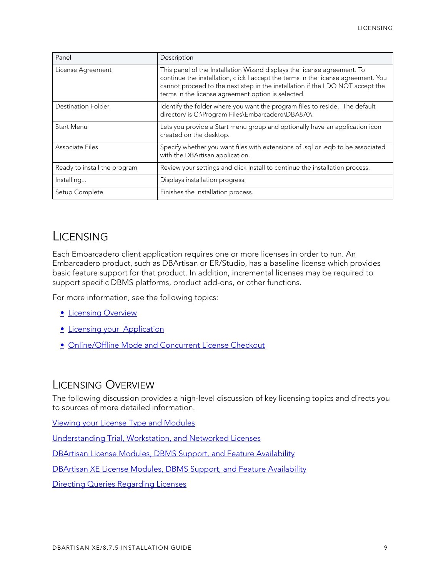| Panel                        | Description                                                                                                                                                                                                                                                                                           |
|------------------------------|-------------------------------------------------------------------------------------------------------------------------------------------------------------------------------------------------------------------------------------------------------------------------------------------------------|
| License Agreement            | This panel of the Installation Wizard displays the license agreement. To<br>continue the installation, click I accept the terms in the license agreement. You<br>cannot proceed to the next step in the installation if the I DO NOT accept the<br>terms in the license agreement option is selected. |
| Destination Folder           | Identify the folder where you want the program files to reside. The default<br>directory is C:\Program Files\Embarcadero\DBA870\.                                                                                                                                                                     |
| Start Menu                   | Lets you provide a Start menu group and optionally have an application icon<br>created on the desktop.                                                                                                                                                                                                |
| Associate Files              | Specify whether you want files with extensions of .sql or .eqb to be associated<br>with the DBArtisan application.                                                                                                                                                                                    |
| Ready to install the program | Review your settings and click Install to continue the installation process.                                                                                                                                                                                                                          |
| Installing                   | Displays installation progress.                                                                                                                                                                                                                                                                       |
| Setup Complete               | Finishes the installation process.                                                                                                                                                                                                                                                                    |

## <span id="page-8-0"></span>LICENSING

Each Embarcadero client application requires one or more licenses in order to run. An Embarcadero product, such as DBArtisan or ER/Studio, has a baseline license which provides basic feature support for that product. In addition, incremental licenses may be required to support specific DBMS platforms, product add-ons, or other functions.

For more information, see the following topics:

- **[Licensing Overview](#page-8-1)**
- [Licensing your Application](#page-10-1)
- [Online/Offline Mode and Concurrent License Checkout](#page-12-1)

### <span id="page-8-1"></span>LICENSING OVERVIEW

The following discussion provides a high-level discussion of key licensing topics and directs you to sources of more detailed information.

[Viewing your License Type and Modules](#page-9-0)

[Understanding Trial, Workstation, and Networked Licenses](#page-9-1)

[DBArtisan License Modules, DBMS Support, and Feature Availability](#page-9-2)

[DBArtisan XE License Modules, DBMS Support, and Feature Availability](#page-9-3)

[Directing Queries Regarding Licenses](#page-10-0)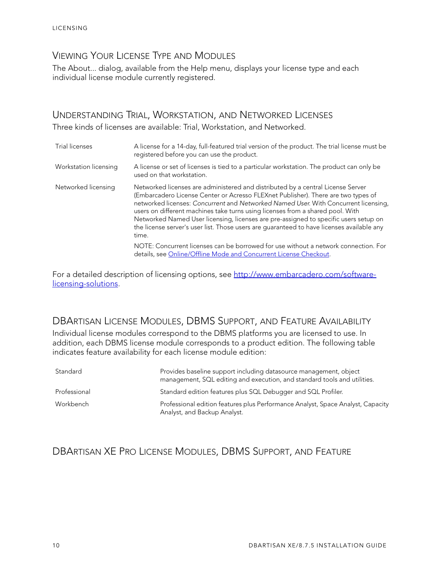## <span id="page-9-0"></span>VIEWING YOUR LICENSE TYPE AND MODULES

The About... dialog, available from the Help menu, displays your license type and each individual license module currently registered.

#### <span id="page-9-1"></span>UNDERSTANDING TRIAL, WORKSTATION, AND NETWORKED LICENSES

Three kinds of licenses are available: Trial, Workstation, and Networked.

| Trial licenses        | A license for a 14-day, full-featured trial version of the product. The trial license must be<br>registered before you can use the product.                                                                                                                                                                                                                                                                                                                                                                                                 |
|-----------------------|---------------------------------------------------------------------------------------------------------------------------------------------------------------------------------------------------------------------------------------------------------------------------------------------------------------------------------------------------------------------------------------------------------------------------------------------------------------------------------------------------------------------------------------------|
| Workstation licensing | A license or set of licenses is tied to a particular workstation. The product can only be<br>used on that workstation.                                                                                                                                                                                                                                                                                                                                                                                                                      |
| Networked licensing   | Networked licenses are administered and distributed by a central License Server<br>(Embarcadero License Center or Acresso FLEXnet Publisher). There are two types of<br>networked licenses: Concurrent and Networked Named User. With Concurrent licensing,<br>users on different machines take turns using licenses from a shared pool. With<br>Networked Named User licensing, licenses are pre-assigned to specific users setup on<br>the license server's user list. Those users are guaranteed to have licenses available any<br>time. |
|                       | NOTE: Concurrent licenses can be borrowed for use without a network connection. For<br>details, see Online/Offline Mode and Concurrent License Checkout.                                                                                                                                                                                                                                                                                                                                                                                    |

For a detailed description of licensing options, see [http://www.embarcadero.com/software](http://www.embarcadero.com/software-licensing-solutions)[licensing-solutions](http://www.embarcadero.com/software-licensing-solutions).

## <span id="page-9-2"></span>DBARTISAN LICENSE MODULES, DBMS SUPPORT, AND FEATURE AVAILABILITY

Individual license modules correspond to the DBMS platforms you are licensed to use. In addition, each DBMS license module corresponds to a product edition. The following table indicates feature availability for each license module edition:

| Standard     | Provides baseline support including datasource management, object<br>management, SQL editing and execution, and standard tools and utilities. |
|--------------|-----------------------------------------------------------------------------------------------------------------------------------------------|
| Professional | Standard edition features plus SQL Debugger and SQL Profiler.                                                                                 |
| Workbench    | Professional edition features plus Performance Analyst, Space Analyst, Capacity<br>Analyst, and Backup Analyst.                               |

## <span id="page-9-3"></span>DBARTISAN XE PRO LICENSE MODULES, DBMS SUPPORT, AND FEATURE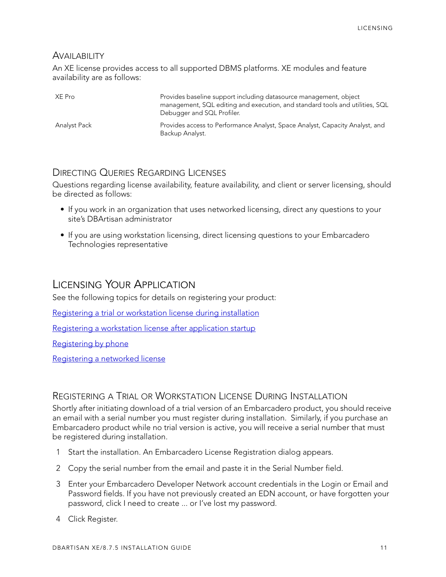#### AVAILABILITY

An XE license provides access to all supported DBMS platforms. XE modules and feature availability are as follows:

| XE Pro       | Provides baseline support including datasource management, object<br>management, SQL editing and execution, and standard tools and utilities, SQL<br>Debugger and SQL Profiler. |
|--------------|---------------------------------------------------------------------------------------------------------------------------------------------------------------------------------|
| Analyst Pack | Provides access to Performance Analyst, Space Analyst, Capacity Analyst, and<br>Backup Analyst.                                                                                 |

#### <span id="page-10-0"></span>DIRECTING QUERIES REGARDING LICENSES

Questions regarding license availability, feature availability, and client or server licensing, should be directed as follows:

- If you work in an organization that uses networked licensing, direct any questions to your site's DBArtisan administrator
- If you are using workstation licensing, direct licensing questions to your Embarcadero Technologies representative

## <span id="page-10-3"></span><span id="page-10-1"></span>LICENSING YOUR APPLICATION

See the following topics for details on registering your product:

[Registering a trial or workstation license during installation](#page-10-2)

[Registering a workstation license after application startup](#page-11-0)

[Registering by phone](#page-11-1)

[Registering a networked license](#page-12-0)

#### <span id="page-10-2"></span>REGISTERING A TRIAL OR WORKSTATION LICENSE DURING INSTALLATION

Shortly after initiating download of a trial version of an Embarcadero product, you should receive an email with a serial number you must register during installation. Similarly, if you purchase an Embarcadero product while no trial version is active, you will receive a serial number that must be registered during installation.

- 1 Start the installation. An Embarcadero License Registration dialog appears.
- 2 Copy the serial number from the email and paste it in the Serial Number field.
- 3 Enter your Embarcadero Developer Network account credentials in the Login or Email and Password fields. If you have not previously created an EDN account, or have forgotten your password, click I need to create ... or I've lost my password.
- 4 Click Register.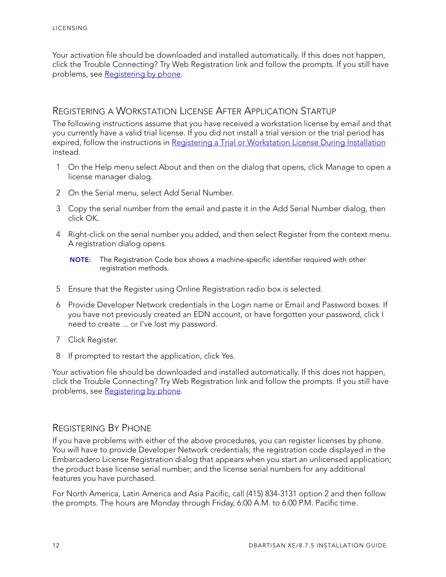Your activation file should be downloaded and installed automatically. If this does not happen, click the Trouble Connecting? Try Web Registration link and follow the prompts. If you still have problems, see [Registering by phone](#page-11-1).

#### <span id="page-11-0"></span>REGISTERING A WORKSTATION LICENSE AFTER APPLICATION STARTUP

The following instructions assume that you have received a workstation license by email and that you currently have a valid trial license. If you did not install a trial version or the trial period has expired, follow the instructions in [Registering a Trial or Workstation License During Installation](#page-10-2) instead.

- 1 On the Help menu select About and then on the dialog that opens, click Manage to open a license manager dialog.
- 2 On the Serial menu, select Add Serial Number.
- 3 Copy the serial number from the email and paste it in the Add Serial Number dialog, then click OK.
- 4 Right-click on the serial number you added, and then select Register from the context menu. A registration dialog opens.

- 5 Ensure that the Register using Online Registration radio box is selected.
- 6 Provide Developer Network credentials in the Login name or Email and Password boxes. If you have not previously created an EDN account, or have forgotten your password, click I need to create ... or I've lost my password.
- 7 Click Register.
- 8 If prompted to restart the application, click Yes.

Your activation file should be downloaded and installed automatically. If this does not happen, click the Trouble Connecting? Try Web Registration link and follow the prompts. If you still have problems, see [Registering by phone](#page-11-1).

#### <span id="page-11-1"></span>REGISTERING BY PHONE

If you have problems with either of the above procedures, you can register licenses by phone. You will have to provide Developer Network credentials; the registration code displayed in the Embarcadero License Registration dialog that appears when you start an unlicensed application; the product base license serial number; and the license serial numbers for any additional features you have purchased.

For North America, Latin America and Asia Pacific, call (415) 834-3131 option 2 and then follow the prompts. The hours are Monday through Friday, 6:00 A.M. to 6:00 P.M. Pacific time.

NOTE: The Registration Code box shows a machine-specific identifier required with other registration methods.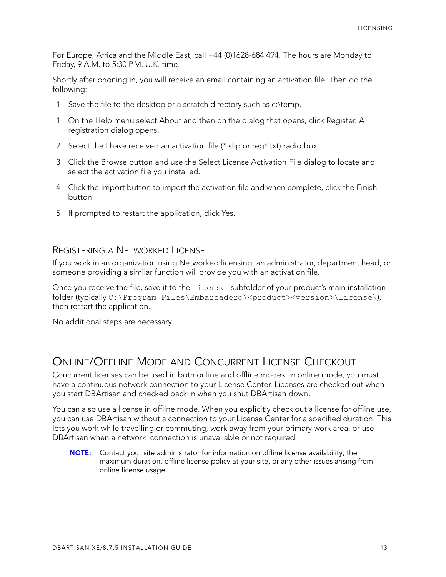For Europe, Africa and the Middle East, call +44 (0)1628-684 494. The hours are Monday to Friday, 9 A.M. to 5:30 P.M. U.K. time.

Shortly after phoning in, you will receive an email containing an activation file. Then do the following:

- 1 Save the file to the desktop or a scratch directory such as c:\temp.
- 1 On the Help menu select About and then on the dialog that opens, click Register. A registration dialog opens.
- 2 Select the I have received an activation file (\*.slip or reg\*.txt) radio box.
- 3 Click the Browse button and use the Select License Activation File dialog to locate and select the activation file you installed.
- 4 Click the Import button to import the activation file and when complete, click the Finish button.
- 5 If prompted to restart the application, click Yes.

#### <span id="page-12-0"></span>REGISTERING A NETWORKED LICENSE

If you work in an organization using Networked licensing, an administrator, department head, or someone providing a similar function will provide you with an activation file.

Once you receive the file, save it to the license subfolder of your product's main installation folder (typically C:\Program Files\Embarcadero\<product><version>\license\), then restart the application.

No additional steps are necessary.

## <span id="page-12-2"></span><span id="page-12-1"></span>ONLINE/OFFLINE MODE AND CONCURRENT LICENSE CHECKOUT

Concurrent licenses can be used in both online and offline modes. In online mode, you must have a continuous network connection to your License Center. Licenses are checked out when you start DBArtisan and checked back in when you shut DBArtisan down.

You can also use a license in offline mode. When you explicitly check out a license for offline use, you can use DBArtisan without a connection to your License Center for a specified duration. This lets you work while travelling or commuting, work away from your primary work area, or use DBArtisan when a network connection is unavailable or not required.

NOTE: Contact your site administrator for information on offline license availability, the maximum duration, offline license policy at your site, or any other issues arising from online license usage.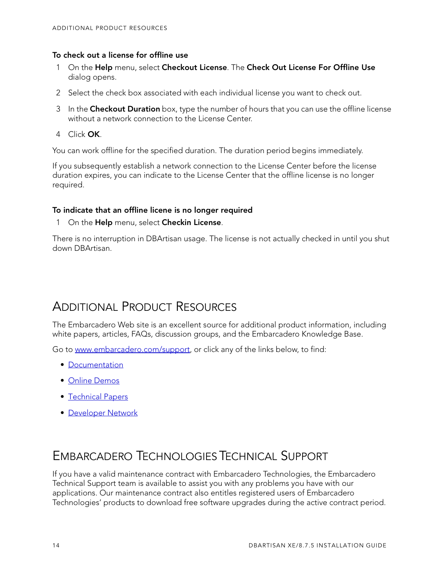#### To check out a license for offline use

- 1 On the Help menu, select Checkout License. The Check Out License For Offline Use dialog opens.
- 2 Select the check box associated with each individual license you want to check out.
- 3 In the Checkout Duration box, type the number of hours that you can use the offline license without a network connection to the License Center.
- 4 Click OK.

You can work offline for the specified duration. The duration period begins immediately.

If you subsequently establish a network connection to the License Center before the license duration expires, you can indicate to the License Center that the offline license is no longer required.

#### To indicate that an offline licene is no longer required

1 On the Help menu, select Checkin License.

There is no interruption in DBArtisan usage. The license is not actually checked in until you shut down DBArtisan.

# <span id="page-13-2"></span><span id="page-13-0"></span>ADDITIONAL PRODUCT RESOURCES

The Embarcadero Web site is an excellent source for additional product information, including white papers, articles, FAQs, discussion groups, and the Embarcadero Knowledge Base.

Go to [www.embarcadero.com/support,](http://www.embarcadero.com/support/) or click any of the links below, to find:

- [Documentation](http://docs.embarcadero.com)
- [Online Demos](http://www.embarcadero.com/resources/demos)
- [Technical Papers](http://www.embarcadero.com/resources/technical-papers)
- <span id="page-13-3"></span>• [Developer Network](http://edn.embarcadero.com)

# <span id="page-13-1"></span>EMBARCADERO TECHNOLOGIES TECHNICAL SUPPORT

If you have a valid maintenance contract with Embarcadero Technologies, the Embarcadero Technical Support team is available to assist you with any problems you have with our applications. Our maintenance contract also entitles registered users of Embarcadero Technologies' products to download free software upgrades during the active contract period.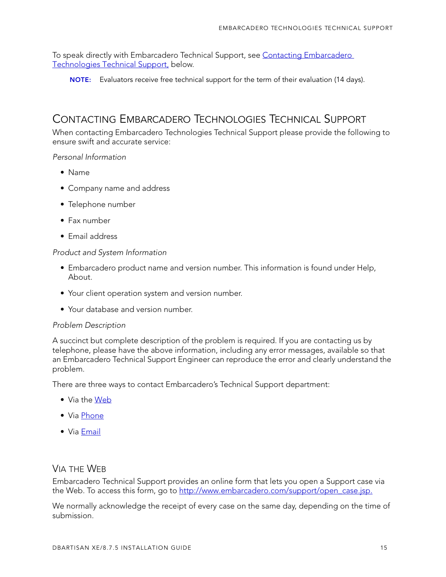To speak directly with Embarcadero Technical Support, see Contacting Embarcadero [Technologies Technical Support,](#page-14-0) below.

NOTE: Evaluators receive free technical support for the term of their evaluation (14 days).

## <span id="page-14-0"></span>CONTACTING EMBARCADERO TECHNOLOGIES TECHNICAL SUPPORT

When contacting Embarcadero Technologies Technical Support please provide the following to ensure swift and accurate service:

#### Personal Information

- Name
- Company name and address
- Telephone number
- Fax number
- Email address

#### Product and System Information

- Embarcadero product name and version number. This information is found under Help, About.
- Your client operation system and version number.
- Your database and version number.

#### Problem Description

A succinct but complete description of the problem is required. If you are contacting us by telephone, please have the above information, including any error messages, available so that an Embarcadero Technical Support Engineer can reproduce the error and clearly understand the problem.

There are three ways to contact Embarcadero's Technical Support department:

- Via the [Web](#page-14-1)
- Via [Phone](#page-15-0)
- Via [Email](#page-15-1)

#### <span id="page-14-1"></span>VIA THE WEB

Embarcadero Technical Support provides an online form that lets you open a Support case via the Web. To access this form, go to [http://www.embarcadero.com/support/open\\_case.jsp.](http://www.embarcadero.com/support/open_case.jsp)

We normally acknowledge the receipt of every case on the same day, depending on the time of submission.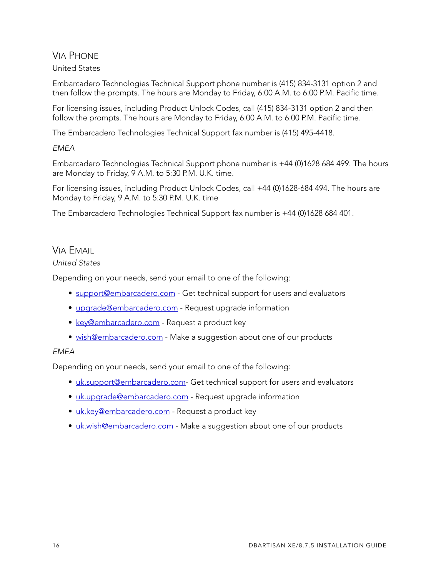#### <span id="page-15-0"></span>VIA PHONE

#### United States

Embarcadero Technologies Technical Support phone number is (415) 834-3131 option 2 and then follow the prompts. The hours are Monday to Friday, 6:00 A.M. to 6:00 P.M. Pacific time.

For licensing issues, including Product Unlock Codes, call (415) 834-3131 option 2 and then follow the prompts. The hours are Monday to Friday, 6:00 A.M. to 6:00 P.M. Pacific time.

The Embarcadero Technologies Technical Support fax number is (415) 495-4418.

#### EMEA

Embarcadero Technologies Technical Support phone number is +44 (0)1628 684 499. The hours are Monday to Friday, 9 A.M. to 5:30 P.M. U.K. time.

For licensing issues, including Product Unlock Codes, call +44 (0)1628-684 494. The hours are Monday to Friday, 9 A.M. to 5:30 P.M. U.K. time

The Embarcadero Technologies Technical Support fax number is +44 (0)1628 684 401.

#### <span id="page-15-1"></span>VIA EMAIL

#### United States

Depending on your needs, send your email to one of the following:

- [support@embarcadero.com](mailto:support@embarcadero.com?subject=Technical Support Request)  Get technical support for users and evaluators
- [upgrade@embarcadero.com](mailto:upgrade@embarcadero.com?subject=Upgrade Information Request) Request upgrade information
- [key@embarcadero.com](mailto:key@embarcadero.com?subject=Key Request) Request a product key
- [wish@embarcadero.com](mailto:wish@embarcadero.com?subject=Product Suggestion)  Make a suggestion about one of our products

#### **FMFA**

Depending on your needs, send your email to one of the following:

- [uk.support@embarcadero.com](mailto:uk.support@embarcadero.com?subject=Technical Support Request) Get technical support for users and evaluators
- [uk.upgrade@embarcadero.com](mailto:uk.upgrade@embarcadero.com?subject=Upgrade Information Request)  Request upgrade information
- [uk.key@embarcadero.com](mailto:uk.key@embarcadero.com?subject=Key Request) Request a product key
- <span id="page-15-2"></span>• [uk.wish@embarcadero.com](mailto:uk.wish@embarcadero.com?subject=Product Suggestion) - Make a suggestion about one of our products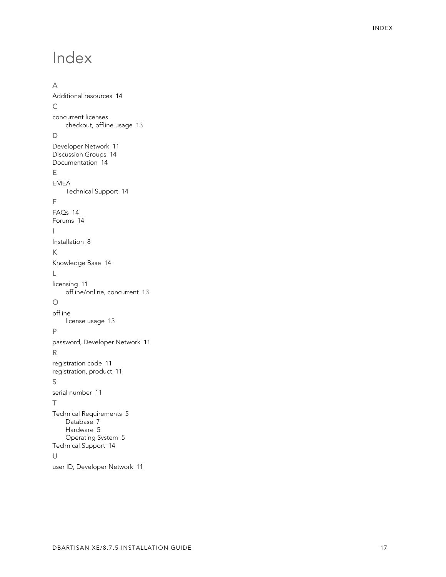# <span id="page-16-0"></span>Index

```
A
Additional resources 14 C
concurrent licenses
    checkout, offline usage 13
\mathsf DDeveloper Network 11
Discussion Groups 14
Documentation 14 E
EMEA
    Technical Support 14
F
FAQs 14
Forums 14 I
Installation 8 K
Knowledge Base 14 L
licensing 11
    offline/online, concurrent 13
\Omegaoffline
    license usage 13
P
password, Developer Network 11 R
registration code 11
registration, product 11 S
serial number 11 T
Technical Requirements 5
    Database 7
    Hardware 5
    Operating System 5
Technical Support 14 U
user ID, Developer Network 11
```